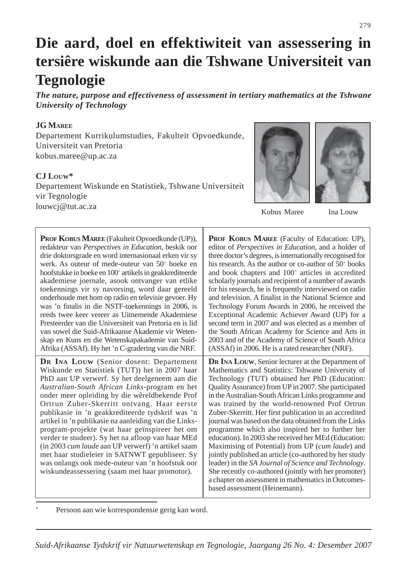# **Die aard, doel en effektiwiteit van assessering in tersiêre wiskunde aan die Tshwane Universiteit van Tegnologie**

*The nature, purpose and effectiveness of assessment in tertiary mathematics at the Tshwane University of Technology*

# **JG MAREE**

Departement Kurrikulumstudies, Fakulteit Opvoedkunde, Universiteit van Pretoria kobus.maree@up.ac.za

# **CJ LOUW\***

Departement Wiskunde en Statistiek, Tshwane Universiteit vir Tegnologie louwcj@tut.ac.za





Kobus Maree Ina Louw

| PROF KOBUS MAREE (Fakulteit Opvoedkunde (UP)),                                                                                                                                                                                                                                                                                                                                                                                                                                                                                                                                                                                                                                                                                    | <b>PROF KOBUS MAREE</b> (Faculty of Education: UP),                                                                                                                                                                                                                                                                                                                                                                                                                                                                                                                                                                                                                                                                                                                                                                                                                                 |
|-----------------------------------------------------------------------------------------------------------------------------------------------------------------------------------------------------------------------------------------------------------------------------------------------------------------------------------------------------------------------------------------------------------------------------------------------------------------------------------------------------------------------------------------------------------------------------------------------------------------------------------------------------------------------------------------------------------------------------------|-------------------------------------------------------------------------------------------------------------------------------------------------------------------------------------------------------------------------------------------------------------------------------------------------------------------------------------------------------------------------------------------------------------------------------------------------------------------------------------------------------------------------------------------------------------------------------------------------------------------------------------------------------------------------------------------------------------------------------------------------------------------------------------------------------------------------------------------------------------------------------------|
| redakteur van Perspectives in Education, beskik oor                                                                                                                                                                                                                                                                                                                                                                                                                                                                                                                                                                                                                                                                               | editor of <i>Perspectives in Education</i> , and a holder of                                                                                                                                                                                                                                                                                                                                                                                                                                                                                                                                                                                                                                                                                                                                                                                                                        |
| drie doktorsgrade en word internasionaal erken vir sy                                                                                                                                                                                                                                                                                                                                                                                                                                                                                                                                                                                                                                                                             | three doctor's degrees, is internationally recognised for                                                                                                                                                                                                                                                                                                                                                                                                                                                                                                                                                                                                                                                                                                                                                                                                                           |
| werk. As outeur of mede-outeur van $50+$ boeke en                                                                                                                                                                                                                                                                                                                                                                                                                                                                                                                                                                                                                                                                                 | his research. As the author or co-author of 50 <sup>+</sup> books                                                                                                                                                                                                                                                                                                                                                                                                                                                                                                                                                                                                                                                                                                                                                                                                                   |
| hoofstukke in boeke en 100 <sup>+</sup> artikels in geakkrediteerde                                                                                                                                                                                                                                                                                                                                                                                                                                                                                                                                                                                                                                                               | and book chapters and 100 <sup>+</sup> articles in accredited                                                                                                                                                                                                                                                                                                                                                                                                                                                                                                                                                                                                                                                                                                                                                                                                                       |
| akademiese joernale, asook ontvanger van etlike                                                                                                                                                                                                                                                                                                                                                                                                                                                                                                                                                                                                                                                                                   | scholarly journals and recipient of a number of awards                                                                                                                                                                                                                                                                                                                                                                                                                                                                                                                                                                                                                                                                                                                                                                                                                              |
| toekennings vir sy navorsing, word daar gereeld                                                                                                                                                                                                                                                                                                                                                                                                                                                                                                                                                                                                                                                                                   | for his research, he is frequently interviewed on radio                                                                                                                                                                                                                                                                                                                                                                                                                                                                                                                                                                                                                                                                                                                                                                                                                             |
| onderhoude met hom op radio en televisie gevoer. Hy                                                                                                                                                                                                                                                                                                                                                                                                                                                                                                                                                                                                                                                                               | and television. A finalist in the National Science and                                                                                                                                                                                                                                                                                                                                                                                                                                                                                                                                                                                                                                                                                                                                                                                                                              |
| was 'n finalis in die NSTF-toekennings in 2006, is                                                                                                                                                                                                                                                                                                                                                                                                                                                                                                                                                                                                                                                                                | Technology Forum Awards in 2006, he received the                                                                                                                                                                                                                                                                                                                                                                                                                                                                                                                                                                                                                                                                                                                                                                                                                                    |
| reeds twee keer vereer as Uitnemende Akademiese                                                                                                                                                                                                                                                                                                                                                                                                                                                                                                                                                                                                                                                                                   | Exceptional Academic Achiever Award (UP) for a                                                                                                                                                                                                                                                                                                                                                                                                                                                                                                                                                                                                                                                                                                                                                                                                                                      |
| Presteerder van die Universiteit van Pretoria en is lid                                                                                                                                                                                                                                                                                                                                                                                                                                                                                                                                                                                                                                                                           | second term in 2007 and was elected as a member of                                                                                                                                                                                                                                                                                                                                                                                                                                                                                                                                                                                                                                                                                                                                                                                                                                  |
| van sowel die Suid-Afrikaanse Akademie vir Weten-                                                                                                                                                                                                                                                                                                                                                                                                                                                                                                                                                                                                                                                                                 | the South African Academy for Science and Arts in                                                                                                                                                                                                                                                                                                                                                                                                                                                                                                                                                                                                                                                                                                                                                                                                                                   |
| skap en Kuns en die Wetenskapakademie van Suid-                                                                                                                                                                                                                                                                                                                                                                                                                                                                                                                                                                                                                                                                                   | 2003 and of the Academy of Science of South Africa                                                                                                                                                                                                                                                                                                                                                                                                                                                                                                                                                                                                                                                                                                                                                                                                                                  |
| Afrika (ASSAf). Hy het 'n C-gradering van die NRF.                                                                                                                                                                                                                                                                                                                                                                                                                                                                                                                                                                                                                                                                                | (ASSAf) in 2006. He is a rated researcher (NRF).                                                                                                                                                                                                                                                                                                                                                                                                                                                                                                                                                                                                                                                                                                                                                                                                                                    |
| <b>DR INA LOUW</b> (Senior dosent: Departement<br>Wiskunde en Statistiek (TUT)) het in 2007 haar<br>PhD aan UP verwerf. Sy het deelgeneem aan die<br>Australian-South African Links-program en het<br>onder meer opleiding by die wêreldbekende Prof<br>Ortrun Zuber-Skerritt ontvang. Haar eerste<br>publikasie in 'n geakkrediteerde tydskrif was 'n<br>artikel in 'n publikasie na aanleiding van die Links-<br>program-projekte (wat haar geïnspireer het om<br>verder te studeer). Sy het na afloop van haar MEd<br>(in 2003 cum laude aan UP verwerf) 'n artikel saam<br>met haar studieleier in SATNWT gepubliseer. Sy<br>was onlangs ook mede-outeur van 'n hoofstuk oor<br>wiskundeassessering (saam met haar promotor). | <b>DR INA LOUW, Senior lecturer at the Department of</b><br>Mathematics and Statistics: Tshwane University of<br>Technology (TUT) obtained her PhD (Education:<br>Quality Assurance) from UP in 2007. She participated<br>in the Australian-South African Links programme and<br>was trained by the world-renowned Prof Ortrun<br>Zuber-Skerritt. Her first publication in an accredited<br>journal was based on the data obtained from the Links<br>programme which also inspired her to further her<br>education). In 2003 she received her MEd (Education:<br>Maximising of Potential) from UP (cum laude) and<br>jointly published an article (co-authored by her study<br>leader) in the SA Journal of Science and Technology.<br>She recently co-authored (jointly with her promoter)<br>a chapter on assessment in mathematics in Outcomes-<br>based assessment (Heinemann). |

Persoon aan wie korrespondensie gerig kan word.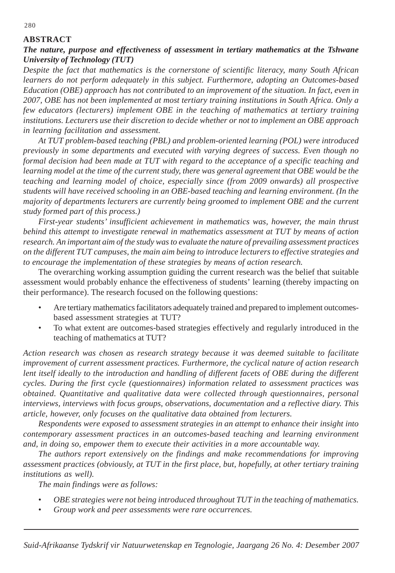# **ABSTRACT**

# *The nature, purpose and effectiveness of assessment in tertiary mathematics at the Tshwane University of Technology (TUT)*

*Despite the fact that mathematics is the cornerstone of scientific literacy, many South African learners do not perform adequately in this subject. Furthermore, adopting an Outcomes-based Education (OBE) approach has not contributed to an improvement of the situation. In fact, even in 2007, OBE has not been implemented at most tertiary training institutions in South Africa. Only a few educators (lecturers) implement OBE in the teaching of mathematics at tertiary training institutions. Lecturers use their discretion to decide whether or not to implement an OBE approach in learning facilitation and assessment.*

*At TUT problem-based teaching (PBL) and problem-oriented learning (POL) were introduced previously in some departments and executed with varying degrees of success. Even though no formal decision had been made at TUT with regard to the acceptance of a specific teaching and learning model at the time of the current study, there was general agreement that OBE would be the teaching and learning model of choice, especially since (from 2009 onwards) all prospective students will have received schooling in an OBE-based teaching and learning environment. (In the majority of departments lecturers are currently being groomed to implement OBE and the current study formed part of this process.)*

*First-year students' insufficient achievement in mathematics was, however, the main thrust behind this attempt to investigate renewal in mathematics assessment at TUT by means of action research. An important aim of the study was to evaluate the nature of prevailing assessment practices on the different TUT campuses, the main aim being to introduce lecturers to effective strategies and to encourage the implementation of these strategies by means of action research.*

The overarching working assumption guiding the current research was the belief that suitable assessment would probably enhance the effectiveness of students' learning (thereby impacting on their performance). The research focused on the following questions:

- Are tertiary mathematics facilitators adequately trained and prepared to implement outcomesbased assessment strategies at TUT?
- To what extent are outcomes-based strategies effectively and regularly introduced in the teaching of mathematics at TUT?

*Action research was chosen as research strategy because it was deemed suitable to facilitate improvement of current assessment practices. Furthermore, the cyclical nature of action research lent itself ideally to the introduction and handling of different facets of OBE during the different cycles. During the first cycle (questionnaires) information related to assessment practices was obtained. Quantitative and qualitative data were collected through questionnaires, personal interviews, interviews with focus groups, observations, documentation and a reflective diary. This article, however, only focuses on the qualitative data obtained from lecturers.*

*Respondents were exposed to assessment strategies in an attempt to enhance their insight into contemporary assessment practices in an outcomes-based teaching and learning environment and, in doing so, empower them to execute their activities in a more accountable way.*

*The authors report extensively on the findings and make recommendations for improving assessment practices (obviously, at TUT in the first place, but, hopefully, at other tertiary training institutions as well).*

*The main findings were as follows:*

- *OBE strategies were not being introduced throughout TUT in the teaching of mathematics.*
- *Group work and peer assessments were rare occurrences.*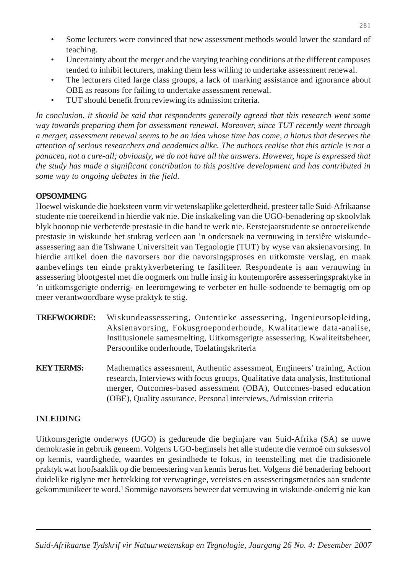- Some lecturers were convinced that new assessment methods would lower the standard of teaching.
- Uncertainty about the merger and the varying teaching conditions at the different campuses tended to inhibit lecturers, making them less willing to undertake assessment renewal.
- The lecturers cited large class groups, a lack of marking assistance and ignorance about OBE as reasons for failing to undertake assessment renewal.
- TUT should benefit from reviewing its admission criteria.

*In conclusion, it should be said that respondents generally agreed that this research went some way towards preparing them for assessment renewal. Moreover, since TUT recently went through a merger, assessment renewal seems to be an idea whose time has come, a hiatus that deserves the attention of serious researchers and academics alike. The authors realise that this article is not a panacea, not a cure-all; obviously, we do not have all the answers. However, hope is expressed that the study has made a significant contribution to this positive development and has contributed in some way to ongoing debates in the field.*

# **OPSOMMING**

Hoewel wiskunde die hoeksteen vorm vir wetenskaplike geletterdheid, presteer talle Suid-Afrikaanse studente nie toereikend in hierdie vak nie. Die inskakeling van die UGO-benadering op skoolvlak blyk boonop nie verbeterde prestasie in die hand te werk nie. Eerstejaarstudente se ontoereikende prestasie in wiskunde het stukrag verleen aan 'n ondersoek na vernuwing in tersiêre wiskundeassessering aan die Tshwane Universiteit van Tegnologie (TUT) by wyse van aksienavorsing. In hierdie artikel doen die navorsers oor die navorsingsproses en uitkomste verslag, en maak aanbevelings ten einde praktykverbetering te fasiliteer. Respondente is aan vernuwing in assessering blootgestel met die oogmerk om hulle insig in kontemporêre assesseringspraktyke in 'n uitkomsgerigte onderrig- en leeromgewing te verbeter en hulle sodoende te bemagtig om op meer verantwoordbare wyse praktyk te stig.

- **TREFWOORDE:** Wiskundeassessering, Outentieke assessering, Ingenieursopleiding, Aksienavorsing, Fokusgroeponderhoude, Kwalitatiewe data-analise, Institusionele samesmelting, Uitkomsgerigte assessering, Kwaliteitsbeheer, Persoonlike onderhoude, Toelatingskriteria
- **KEY TERMS:** Mathematics assessment, Authentic assessment, Engineers' training, Action research, Interviews with focus groups, Qualitative data analysis, Institutional merger, Outcomes-based assessment (OBA), Outcomes-based education (OBE), Quality assurance, Personal interviews, Admission criteria

# **INLEIDING**

Uitkomsgerigte onderwys (UGO) is gedurende die beginjare van Suid-Afrika (SA) se nuwe demokrasie in gebruik geneem. Volgens UGO-beginsels het alle studente die vermoë om suksesvol op kennis, vaardighede, waardes en gesindhede te fokus, in teenstelling met die tradisionele praktyk wat hoofsaaklik op die bemeestering van kennis berus het. Volgens dié benadering behoort duidelike riglyne met betrekking tot verwagtinge, vereistes en assesseringsmetodes aan studente gekommunikeer te word.<sup>1</sup> Sommige navorsers beweer dat vernuwing in wiskunde-onderrig nie kan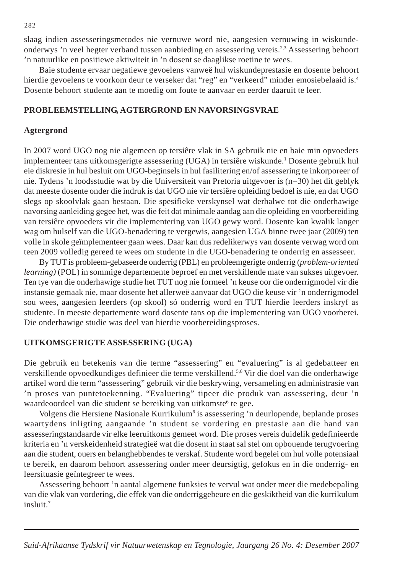slaag indien assesseringsmetodes nie vernuwe word nie, aangesien vernuwing in wiskundeonderwys 'n veel hegter verband tussen aanbieding en assessering vereis.2,3 Assessering behoort 'n natuurlike en positiewe aktiwiteit in 'n dosent se daaglikse roetine te wees.

Baie studente ervaar negatiewe gevoelens vanweë hul wiskundeprestasie en dosente behoort hierdie gevoelens te voorkom deur te verseker dat "reg" en "verkeerd" minder emosiebelaaid is.4 Dosente behoort studente aan te moedig om foute te aanvaar en eerder daaruit te leer.

#### **PROBLEEMSTELLING, AGTERGROND EN NAVORSINGSVRAE**

#### **Agtergrond**

In 2007 word UGO nog nie algemeen op tersiêre vlak in SA gebruik nie en baie min opvoeders implementeer tans uitkomsgerigte assessering (UGA) in tersiêre wiskunde.<sup>1</sup> Dosente gebruik hul eie diskresie in hul besluit om UGO-beginsels in hul fasilitering en/of assessering te inkorporeer of nie. Tydens 'n loodsstudie wat by die Universiteit van Pretoria uitgevoer is (n=30) het dit geblyk dat meeste dosente onder die indruk is dat UGO nie vir tersiêre opleiding bedoel is nie, en dat UGO slegs op skoolvlak gaan bestaan. Die spesifieke verskynsel wat derhalwe tot die onderhawige navorsing aanleiding gegee het, was die feit dat minimale aandag aan die opleiding en voorbereiding van tersiêre opvoeders vir die implementering van UGO gewy word. Dosente kan kwalik langer wag om hulself van die UGO-benadering te vergewis, aangesien UGA binne twee jaar (2009) ten volle in skole geïmplementeer gaan wees. Daar kan dus redelikerwys van dosente verwag word om teen 2009 volledig gereed te wees om studente in die UGO-benadering te onderrig en assesseer.

By TUT is probleem-gebaseerde onderrig (PBL) en probleemgerigte onderrig (*problem-oriented learning)* (POL) in sommige departemente beproef en met verskillende mate van sukses uitgevoer. Ten tye van die onderhawige studie het TUT nog nie formeel 'n keuse oor die onderrigmodel vir die instansie gemaak nie, maar dosente het allerweë aanvaar dat UGO die keuse vir 'n onderrigmodel sou wees, aangesien leerders (op skool) só onderrig word en TUT hierdie leerders inskryf as studente. In meeste departemente word dosente tans op die implementering van UGO voorberei. Die onderhawige studie was deel van hierdie voorbereidingsproses.

#### **UITKOMSGERIGTE ASSESSERING (UGA)**

Die gebruik en betekenis van die terme "assessering" en "evaluering" is al gedebatteer en verskillende opvoedkundiges definieer die terme verskillend.5,6 Vir die doel van die onderhawige artikel word die term "assessering" gebruik vir die beskrywing, versameling en administrasie van 'n proses van puntetoekenning. "Evaluering" tipeer die produk van assessering, deur 'n waardeoordeel van die student se bereiking van uitkomste<sup>6</sup> te gee.

Volgens die Hersiene Nasionale Kurrikulum<sup>6</sup> is assessering 'n deurlopende, beplande proses waartydens inligting aangaande 'n student se vordering en prestasie aan die hand van assesseringstandaarde vir elke leeruitkoms gemeet word. Die proses vereis duidelik gedefinieerde kriteria en 'n verskeidenheid strategieë wat die dosent in staat sal stel om opbouende terugvoering aan die student, ouers en belanghebbendes te verskaf. Studente word begelei om hul volle potensiaal te bereik, en daarom behoort assessering onder meer deursigtig, gefokus en in die onderrig- en leersituasie geïntegreer te wees.

Assessering behoort 'n aantal algemene funksies te vervul wat onder meer die medebepaling van die vlak van vordering, die effek van die onderriggebeure en die geskiktheid van die kurrikulum insluit.7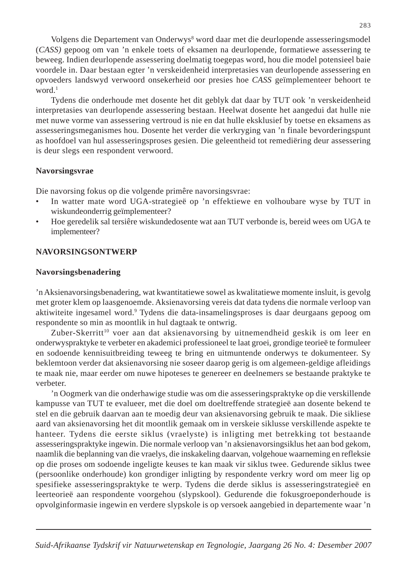Volgens die Departement van Onderwys8 word daar met die deurlopende assesseringsmodel (*CASS)* gepoog om van 'n enkele toets of eksamen na deurlopende, formatiewe assessering te beweeg. Indien deurlopende assessering doelmatig toegepas word, hou die model potensieel baie voordele in. Daar bestaan egter 'n verskeidenheid interpretasies van deurlopende assessering en opvoeders landswyd verwoord onsekerheid oor presies hoe *CASS* geïmplementeer behoort te word.<sup>1</sup>

Tydens die onderhoude met dosente het dit geblyk dat daar by TUT ook 'n verskeidenheid interpretasies van deurlopende assessering bestaan. Heelwat dosente het aangedui dat hulle nie met nuwe vorme van assessering vertroud is nie en dat hulle eksklusief by toetse en eksamens as assesseringsmeganismes hou. Dosente het verder die verkryging van 'n finale bevorderingspunt as hoofdoel van hul assesseringsproses gesien. Die geleentheid tot remediëring deur assessering is deur slegs een respondent verwoord.

## **Navorsingsvrae**

Die navorsing fokus op die volgende primêre navorsingsvrae:

- In watter mate word UGA-strategieë op 'n effektiewe en volhoubare wyse by TUT in wiskundeonderrig geïmplementeer?
- Hoe geredelik sal tersiêre wiskundedosente wat aan TUT verbonde is, bereid wees om UGA te implementeer?

# **NAVORSINGSONTWERP**

#### **Navorsingsbenadering**

'n Aksienavorsingsbenadering, wat kwantitatiewe sowel as kwalitatiewe momente insluit, is gevolg met groter klem op laasgenoemde. Aksienavorsing vereis dat data tydens die normale verloop van aktiwiteite ingesamel word.<sup>9</sup> Tydens die data-insamelingsproses is daar deurgaans gepoog om respondente so min as moontlik in hul dagtaak te ontwrig.

Zuber-Skerritt<sup>10</sup> voer aan dat aksienavorsing by uitnemendheid geskik is om leer en onderwyspraktyke te verbeter en akademici professioneel te laat groei, grondige teorieë te formuleer en sodoende kennisuitbreiding teweeg te bring en uitmuntende onderwys te dokumenteer. Sy beklemtoon verder dat aksienavorsing nie soseer daarop gerig is om algemeen-geldige afleidings te maak nie, maar eerder om nuwe hipoteses te genereer en deelnemers se bestaande praktyke te verbeter.

'n Oogmerk van die onderhawige studie was om die assesseringspraktyke op die verskillende kampusse van TUT te evalueer, met die doel om doeltreffende strategieë aan dosente bekend te stel en die gebruik daarvan aan te moedig deur van aksienavorsing gebruik te maak. Die sikliese aard van aksienavorsing het dit moontlik gemaak om in verskeie siklusse verskillende aspekte te hanteer. Tydens die eerste siklus (vraelyste) is inligting met betrekking tot bestaande assesseringspraktyke ingewin. Die normale verloop van 'n aksienavorsingsiklus het aan bod gekom, naamlik die beplanning van die vraelys, die inskakeling daarvan, volgehoue waarneming en refleksie op die proses om sodoende ingeligte keuses te kan maak vir siklus twee. Gedurende siklus twee (persoonlike onderhoude) kon grondiger inligting by respondente verkry word om meer lig op spesifieke assesseringspraktyke te werp. Tydens die derde siklus is assesseringstrategieë en leerteorieë aan respondente voorgehou (slypskool). Gedurende die fokusgroeponderhoude is opvolginformasie ingewin en verdere slypskole is op versoek aangebied in departemente waar 'n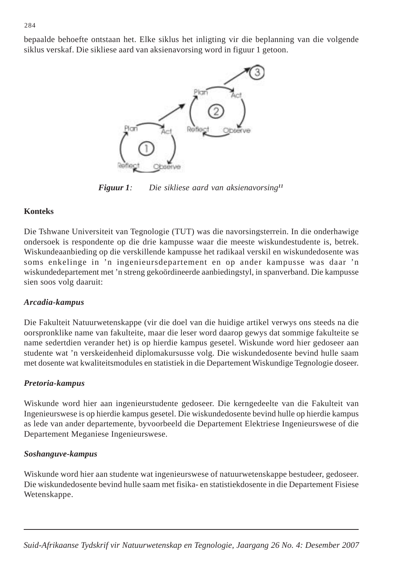bepaalde behoefte ontstaan het. Elke siklus het inligting vir die beplanning van die volgende siklus verskaf. Die sikliese aard van aksienavorsing word in figuur 1 getoon.



*Figuur 1: Die sikliese aard van aksienavorsing11*

# **Konteks**

Die Tshwane Universiteit van Tegnologie (TUT) was die navorsingsterrein. In die onderhawige ondersoek is respondente op die drie kampusse waar die meeste wiskundestudente is, betrek. Wiskundeaanbieding op die verskillende kampusse het radikaal verskil en wiskundedosente was soms enkelinge in 'n ingenieursdepartement en op ander kampusse was daar 'n wiskundedepartement met 'n streng gekoördineerde aanbiedingstyl, in spanverband. Die kampusse sien soos volg daaruit:

# *Arcadia-kampus*

Die Fakulteit Natuurwetenskappe (vir die doel van die huidige artikel verwys ons steeds na die oorspronklike name van fakulteite, maar die leser word daarop gewys dat sommige fakulteite se name sedertdien verander het) is op hierdie kampus gesetel. Wiskunde word hier gedoseer aan studente wat 'n verskeidenheid diplomakursusse volg. Die wiskundedosente bevind hulle saam met dosente wat kwaliteitsmodules en statistiek in die Departement Wiskundige Tegnologie doseer.

# *Pretoria-kampus*

Wiskunde word hier aan ingenieurstudente gedoseer. Die kerngedeelte van die Fakulteit van Ingenieurswese is op hierdie kampus gesetel. Die wiskundedosente bevind hulle op hierdie kampus as lede van ander departemente, byvoorbeeld die Departement Elektriese Ingenieurswese of die Departement Meganiese Ingenieurswese.

# *Soshanguve-kampus*

Wiskunde word hier aan studente wat ingenieurswese of natuurwetenskappe bestudeer, gedoseer. Die wiskundedosente bevind hulle saam met fisika- en statistiekdosente in die Departement Fisiese Wetenskappe.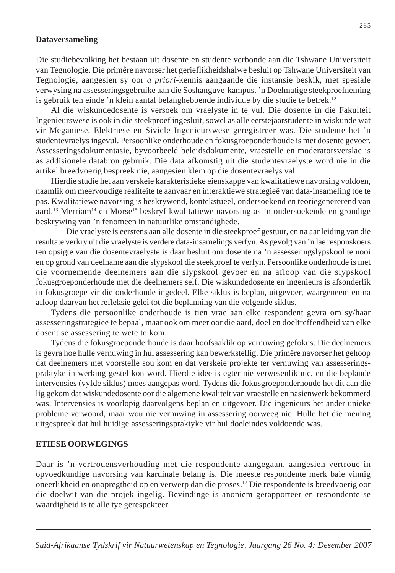## **Dataversameling**

Die studiebevolking het bestaan uit dosente en studente verbonde aan die Tshwane Universiteit van Tegnologie. Die primêre navorser het gerieflikheidshalwe besluit op Tshwane Universiteit van Tegnologie, aangesien sy oor *a priori*-kennis aangaande die instansie beskik, met spesiale verwysing na assesseringsgebruike aan die Soshanguve-kampus. 'n Doelmatige steekproefneming is gebruik ten einde 'n klein aantal belanghebbende individue by die studie te betrek.12

Al die wiskundedosente is versoek om vraelyste in te vul. Die dosente in die Fakulteit Ingenieurswese is ook in die steekproef ingesluit, sowel as alle eerstejaarstudente in wiskunde wat vir Meganiese, Elektriese en Siviele Ingenieurswese geregistreer was. Die studente het 'n studentevraelys ingevul. Persoonlike onderhoude en fokusgroeponderhoude is met dosente gevoer. Assesseringsdokumentasie, byvoorbeeld beleidsdokumente, vraestelle en moderatorsverslae is as addisionele databron gebruik. Die data afkomstig uit die studentevraelyste word nie in die artikel breedvoerig bespreek nie, aangesien klem op die dosentevraelys val.

Hierdie studie het aan verskeie karakteristieke eienskappe van kwalitatiewe navorsing voldoen, naamlik om meervoudige realiteite te aanvaar en interaktiewe strategieë van data-insameling toe te pas. Kwalitatiewe navorsing is beskrywend, kontekstueel, ondersoekend en teoriegenererend van aard.<sup>13</sup> Merriam<sup>14</sup> en Morse<sup>15</sup> beskryf kwalitatiewe navorsing as 'n ondersoekende en grondige beskrywing van 'n fenomeen in natuurlike omstandighede.

Die vraelyste is eerstens aan alle dosente in die steekproef gestuur, en na aanleiding van die resultate verkry uit die vraelyste is verdere data-insamelings verfyn. As gevolg van 'n lae responskoers ten opsigte van die dosentevraelyste is daar besluit om dosente na 'n assesseringslypskool te nooi en op grond van deelname aan die slypskool die steekproef te verfyn. Persoonlike onderhoude is met die voornemende deelnemers aan die slypskool gevoer en na afloop van die slypskool fokusgroeponderhoude met die deelnemers self. Die wiskundedosente en ingenieurs is afsonderlik in fokusgroepe vir die onderhoude ingedeel. Elke siklus is beplan, uitgevoer, waargeneem en na afloop daarvan het refleksie gelei tot die beplanning van die volgende siklus.

Tydens die persoonlike onderhoude is tien vrae aan elke respondent gevra om sy/haar assesseringstrategieë te bepaal, maar ook om meer oor die aard, doel en doeltreffendheid van elke dosent se assessering te wete te kom.

Tydens die fokusgroeponderhoude is daar hoofsaaklik op vernuwing gefokus. Die deelnemers is gevra hoe hulle vernuwing in hul assessering kan bewerkstellig. Die primêre navorser het gehoop dat deelnemers met voorstelle sou kom en dat verskeie projekte ter vernuwing van assesseringspraktyke in werking gestel kon word. Hierdie idee is egter nie verwesenlik nie, en die beplande intervensies (vyfde siklus) moes aangepas word. Tydens die fokusgroeponderhoude het dit aan die lig gekom dat wiskundedosente oor die algemene kwaliteit van vraestelle en nasienwerk bekommerd was. Intervensies is voorlopig daarvolgens beplan en uitgevoer. Die ingenieurs het ander unieke probleme verwoord, maar wou nie vernuwing in assessering oorweeg nie. Hulle het die mening uitgespreek dat hul huidige assesseringspraktyke vir hul doeleindes voldoende was.

#### **ETIESE OORWEGINGS**

Daar is 'n vertrouensverhouding met die respondente aangegaan, aangesien vertroue in opvoedkundige navorsing van kardinale belang is. Die meeste respondente merk baie vinnig oneerlikheid en onopregtheid op en verwerp dan die proses.12 Die respondente is breedvoerig oor die doelwit van die projek ingelig. Bevindinge is anoniem gerapporteer en respondente se waardigheid is te alle tye gerespekteer.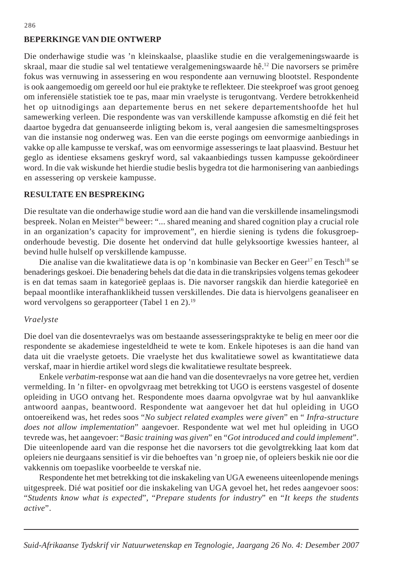# **BEPERKINGE VAN DIE ONTWERP**

Die onderhawige studie was 'n kleinskaalse, plaaslike studie en die veralgemeningswaarde is skraal, maar die studie sal wel tentatiewe veralgemeningswaarde hê.<sup>12</sup> Die navorsers se primêre fokus was vernuwing in assessering en wou respondente aan vernuwing blootstel. Respondente is ook aangemoedig om gereeld oor hul eie praktyke te reflekteer. Die steekproef was groot genoeg om inferensiële statistiek toe te pas, maar min vraelyste is terugontvang. Verdere betrokkenheid het op uitnodigings aan departemente berus en net sekere departementshoofde het hul samewerking verleen. Die respondente was van verskillende kampusse afkomstig en dié feit het daartoe bygedra dat genuanseerde inligting bekom is, veral aangesien die samesmeltingsproses van die instansie nog onderweg was. Een van die eerste pogings om eenvormige aanbiedings in vakke op alle kampusse te verskaf, was om eenvormige assesserings te laat plaasvind. Bestuur het geglo as identiese eksamens geskryf word, sal vakaanbiedings tussen kampusse gekoördineer word. In die vak wiskunde het hierdie studie beslis bygedra tot die harmonisering van aanbiedings en assessering op verskeie kampusse.

## **RESULTATE EN BESPREKING**

Die resultate van die onderhawige studie word aan die hand van die verskillende insamelingsmodi bespreek. Nolan en Meister<sup>16</sup> beweer: "... shared meaning and shared cognition play a crucial role in an organization's capacity for improvement", en hierdie siening is tydens die fokusgroeponderhoude bevestig. Die dosente het ondervind dat hulle gelyksoortige kwessies hanteer, al bevind hulle hulself op verskillende kampusse.

Die analise van die kwalitatiewe data is op 'n kombinasie van Becker en Geer<sup>17</sup> en Tesch<sup>18</sup> se benaderings geskoei. Die benadering behels dat die data in die transkripsies volgens temas gekodeer is en dat temas saam in kategorieë geplaas is. Die navorser rangskik dan hierdie kategorieë en bepaal moontlike interafhanklikheid tussen verskillendes. Die data is hiervolgens geanaliseer en word vervolgens so gerapporteer (Tabel 1 en 2).<sup>19</sup>

#### *Vraelyste*

Die doel van die dosentevraelys was om bestaande assesseringspraktyke te belig en meer oor die respondente se akademiese ingesteldheid te wete te kom. Enkele hipoteses is aan die hand van data uit die vraelyste getoets. Die vraelyste het dus kwalitatiewe sowel as kwantitatiewe data verskaf, maar in hierdie artikel word slegs die kwalitatiewe resultate bespreek.

Enkele *verbatim*-response wat aan die hand van die dosentevraelys na vore getree het, verdien vermelding. In 'n filter- en opvolgvraag met betrekking tot UGO is eerstens vasgestel of dosente opleiding in UGO ontvang het. Respondente moes daarna opvolgvrae wat by hul aanvanklike antwoord aanpas, beantwoord. Respondente wat aangevoer het dat hul opleiding in UGO ontoereikend was, het redes soos "*No subject related examples were given*" en " *Infra-structure does not allow implementation*" aangevoer. Respondente wat wel met hul opleiding in UGO tevrede was, het aangevoer: "*Basic training was given*" en "*Got introduced and could implement*". Die uiteenlopende aard van die response het die navorsers tot die gevolgtrekking laat kom dat opleiers nie deurgaans sensitief is vir die behoeftes van 'n groep nie, of opleiers beskik nie oor die vakkennis om toepaslike voorbeelde te verskaf nie.

Respondente het met betrekking tot die inskakeling van UGA eweneens uiteenlopende menings uitgespreek. Dié wat positief oor die inskakeling van UGA gevoel het, het redes aangevoer soos: "*Students know what is expected*", "*Prepare students for industry*" en "*It keeps the students active*".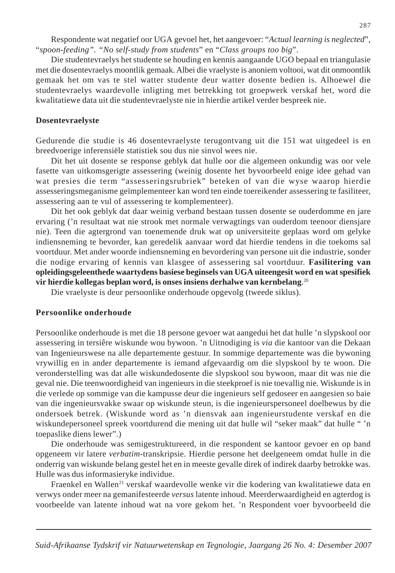Respondente wat negatief oor UGA gevoel het, het aangevoer: "*Actual learning is neglected*", "*spoon-feeding". "No self-study from students*" en "*Class groups too big*".

Die studentevraelys het studente se houding en kennis aangaande UGO bepaal en triangulasie met die dosentevraelys moontlik gemaak. Albei die vraelyste is anoniem voltooi, wat dit onmoontlik gemaak het om vas te stel watter studente deur watter dosente bedien is. Alhoewel die studentevraelys waardevolle inligting met betrekking tot groepwerk verskaf het, word die kwalitatiewe data uit die studentevraelyste nie in hierdie artikel verder bespreek nie.

## **Dosentevraelyste**

Gedurende die studie is 46 dosentevraelyste terugontvang uit die 151 wat uitgedeel is en breedvoerige inferensiële statistiek sou dus nie sinvol wees nie.

Dit het uit dosente se response geblyk dat hulle oor die algemeen onkundig was oor vele fasette van uitkomsgerigte assessering (weinig dosente het byvoorbeeld enige idee gehad van wat presies die term "assesseringsrubriek" beteken of van die wyse waarop hierdie assesseringsmeganisme geïmplementeer kan word ten einde toereikender assessering te fasiliteer, assessering aan te vul of assessering te komplementeer).

Dit het ook geblyk dat daar weinig verband bestaan tussen dosente se ouderdomme en jare ervaring ('n resultaat wat nie strook met normale verwagtings van ouderdom teenoor diensjare nie). Teen die agtergrond van toenemende druk wat op universiteite geplaas word om gelyke indiensneming te bevorder, kan geredelik aanvaar word dat hierdie tendens in die toekoms sal voortduur. Met ander woorde indiensneming en bevordering van persone uit die industrie, sonder die nodige ervaring of kennis van klasgee of assessering sal voortduur. **Fasilitering van opleidingsgeleenthede waartydens basiese beginsels van UGA uiteengesit word en wat spesifiek vir hierdie kollegas beplan word, is onses insiens derhalwe van kernbelang**. 20

Die vraelyste is deur persoonlike onderhoude opgevolg (tweede siklus).

#### **Persoonlike onderhoude**

Persoonlike onderhoude is met die 18 persone gevoer wat aangedui het dat hulle 'n slypskool oor assessering in tersiêre wiskunde wou bywoon. 'n Uitnodiging is *via* die kantoor van die Dekaan van Ingenieurswese na alle departemente gestuur. In sommige departemente was die bywoning vrywillig en in ander departemente is iemand afgevaardig om die slypskool by te woon. Die veronderstelling was dat alle wiskundedosente die slypskool sou bywoon, maar dit was nie die geval nie. Die teenwoordigheid van ingenieurs in die steekproef is nie toevallig nie. Wiskunde is in die verlede op sommige van die kampusse deur die ingenieurs self gedoseer en aangesien so baie van die ingenieursvakke swaar op wiskunde steun, is die ingenieurspersoneel doelbewus by die ondersoek betrek. (Wiskunde word as 'n diensvak aan ingenieurstudente verskaf en die wiskundepersoneel spreek voortdurend die mening uit dat hulle wil "seker maak" dat hulle " 'n toepaslike diens lewer".)

Die onderhoude was semigestruktureerd, in die respondent se kantoor gevoer en op band opgeneem vir latere *verbatim-*transkripsie. Hierdie persone het deelgeneem omdat hulle in die onderrig van wiskunde belang gestel het en in meeste gevalle direk of indirek daarby betrokke was. Hulle was dus informasieryke individue.

Fraenkel en Wallen<sup>21</sup> verskaf waardevolle wenke vir die kodering van kwalitatiewe data en verwys onder meer na gemanifesteerde *versus* latente inhoud. Meerderwaardigheid en agterdog is voorbeelde van latente inhoud wat na vore gekom het. 'n Respondent voer byvoorbeeld die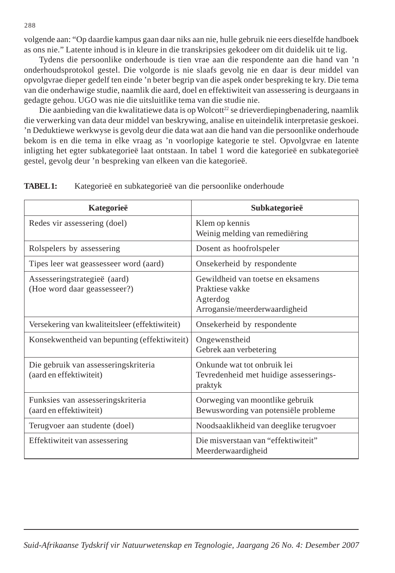volgende aan: "Op daardie kampus gaan daar niks aan nie, hulle gebruik nie eers dieselfde handboek as ons nie." Latente inhoud is in kleure in die transkripsies gekodeer om dit duidelik uit te lig.

Tydens die persoonlike onderhoude is tien vrae aan die respondente aan die hand van 'n onderhoudsprotokol gestel. Die volgorde is nie slaafs gevolg nie en daar is deur middel van opvolgvrae dieper gedelf ten einde 'n beter begrip van die aspek onder bespreking te kry. Die tema van die onderhawige studie, naamlik die aard, doel en effektiwiteit van assessering is deurgaans in gedagte gehou. UGO was nie die uitsluitlike tema van die studie nie.

Die aanbieding van die kwalitatiewe data is op Wolcott<sup>22</sup> se drieverdiepingbenadering, naamlik die verwerking van data deur middel van beskrywing, analise en uiteindelik interpretasie geskoei. 'n Deduktiewe werkwyse is gevolg deur die data wat aan die hand van die persoonlike onderhoude bekom is en die tema in elke vraag as 'n voorlopige kategorie te stel. Opvolgvrae en latente inligting het egter subkategorieë laat ontstaan. In tabel 1 word die kategorieë en subkategorieë gestel, gevolg deur 'n bespreking van elkeen van die kategorieë.

| Kategorieë                                                      | Subkategorieë                                                                                     |
|-----------------------------------------------------------------|---------------------------------------------------------------------------------------------------|
| Redes vir assessering (doel)                                    | Klem op kennis<br>Weinig melding van remediëring                                                  |
| Rolspelers by assessering                                       | Dosent as hoofrolspeler                                                                           |
| Tipes leer wat geassesseer word (aard)                          | Onsekerheid by respondente                                                                        |
| Assesseringstrategieë (aard)<br>(Hoe word daar geassesseer?)    | Gewildheid van toetse en eksamens<br>Praktiese vakke<br>Agterdog<br>Arrogansie/meerderwaardigheid |
| Versekering van kwaliteitsleer (effektiwiteit)                  | Onsekerheid by respondente                                                                        |
| Konsekwentheid van bepunting (effektiwiteit)                    | Ongewenstheid<br>Gebrek aan verbetering                                                           |
| Die gebruik van assesseringskriteria<br>(aard en effektiwiteit) | Onkunde wat tot onbruik lei<br>Tevredenheid met huidige assesserings-<br>praktyk                  |
| Funksies van assesseringskriteria<br>(aard en effektiwiteit)    | Oorweging van moontlike gebruik<br>Bewuswording van potensiële probleme                           |
| Terugvoer aan studente (doel)                                   | Noodsaaklikheid van deeglike terugvoer                                                            |
| Effektiwiteit van assessering                                   | Die misverstaan van "effektiwiteit"<br>Meerderwaardigheid                                         |

**TABEL 1:** Kategorieë en subkategorieë van die persoonlike onderhoude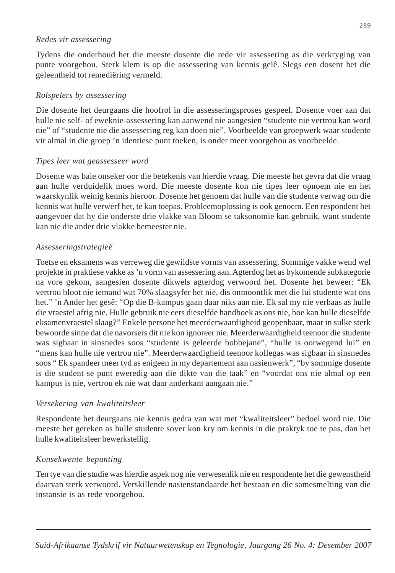# *Redes vir assessering*

Tydens die onderhoud het die meeste dosente die rede vir assessering as die verkryging van punte voorgehou. Sterk klem is op die assessering van kennis gelê. Slegs een dosent het die geleentheid tot remediëring vermeld.

# *Rolspelers by assessering*

Die dosente het deurgaans die hoofrol in die assesseringsproses gespeel. Dosente voer aan dat hulle nie self- of eweknie-assessering kan aanwend nie aangesien "studente nie vertrou kan word nie" of "studente nie die assessering reg kan doen nie". Voorbeelde van groepwerk waar studente vir almal in die groep 'n identiese punt toeken, is onder meer voorgehou as voorbeelde.

# *Tipes leer wat geassesseer word*

Dosente was baie onseker oor die betekenis van hierdie vraag. Die meeste het gevra dat die vraag aan hulle verduidelik moes word. Die meeste dosente kon nie tipes leer opnoem nie en het waarskynlik weinig kennis hieroor. Dosente het genoem dat hulle van die studente verwag om die kennis wat hulle verwerf het, te kan toepas. Probleemoplossing is ook genoem. Een respondent het aangevoer dat hy die onderste drie vlakke van Bloom se taksonomie kan gebruik, want studente kan nie die ander drie vlakke bemeester nie.

# *Assesseringstrategieë*

Toetse en eksamens was verreweg die gewildste vorms van assessering. Sommige vakke wend wel projekte in praktiese vakke as 'n vorm van assessering aan. Agterdog het as bykomende subkategorie na vore gekom, aangesien dosente dikwels agterdog verwoord het. Dosente het beweer: "Ek vertrou bloot nie iemand wat 70% slaagsyfer het nie, dis onmoontlik met die lui studente wat ons het." 'n Ander het gesê: "Op die B-kampus gaan daar niks aan nie. Ek sal my nie verbaas as hulle die vraestel afrig nie. Hulle gebruik nie eers dieselfde handboek as ons nie, hoe kan hulle dieselfde eksamenvraestel slaag?" Enkele persone het meerderwaardigheid geopenbaar, maar in sulke sterk bewoorde sinne dat die navorsers dit nie kon ignoreer nie. Meerderwaardigheid teenoor die studente was sigbaar in sinsnedes soos "studente is geleerde bobbejane", "hulle is oorwegend lui" en "mens kan hulle nie vertrou nie". Meerderwaardigheid teenoor kollegas was sigbaar in sinsnedes soos " Ek spandeer meer tyd as enigeen in my departement aan nasienwerk", "by sommige dosente is die student se punt eweredig aan die dikte van die taak" en "voordat ons nie almal op een kampus is nie, vertrou ek nie wat daar anderkant aangaan nie."

# *Versekering van kwaliteitsleer*

Respondente het deurgaans nie kennis gedra van wat met "kwaliteitsleer" bedoel word nie. Die meeste het gereken as hulle studente sover kon kry om kennis in die praktyk toe te pas, dan het hulle kwaliteitsleer bewerkstellig.

# *Konsekwente bepunting*

Ten tye van die studie was hierdie aspek nog nie verwesenlik nie en respondente het die gewenstheid daarvan sterk verwoord. Verskillende nasienstandaarde het bestaan en die samesmelting van die instansie is as rede voorgehou.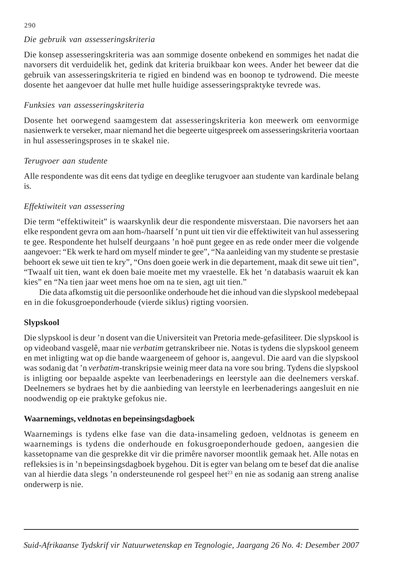#### 290

# *Die gebruik van assesseringskriteria*

Die konsep assesseringskriteria was aan sommige dosente onbekend en sommiges het nadat die navorsers dit verduidelik het, gedink dat kriteria bruikbaar kon wees. Ander het beweer dat die gebruik van assesseringskriteria te rigied en bindend was en boonop te tydrowend. Die meeste dosente het aangevoer dat hulle met hulle huidige assesseringspraktyke tevrede was.

# *Funksies van assesseringskriteria*

Dosente het oorwegend saamgestem dat assesseringskriteria kon meewerk om eenvormige nasienwerk te verseker, maar niemand het die begeerte uitgespreek om assesseringskriteria voortaan in hul assesseringsproses in te skakel nie.

# *Terugvoer aan studente*

Alle respondente was dit eens dat tydige en deeglike terugvoer aan studente van kardinale belang is.

# *Effektiwiteit van assessering*

Die term "effektiwiteit" is waarskynlik deur die respondente misverstaan. Die navorsers het aan elke respondent gevra om aan hom-/haarself 'n punt uit tien vir die effektiwiteit van hul assessering te gee. Respondente het hulself deurgaans 'n hoë punt gegee en as rede onder meer die volgende aangevoer: "Ek werk te hard om myself minder te gee", "Na aanleiding van my studente se prestasie behoort ek sewe uit tien te kry", "Ons doen goeie werk in die departement, maak dit sewe uit tien", "Twaalf uit tien, want ek doen baie moeite met my vraestelle. Ek het 'n databasis waaruit ek kan kies" en "Na tien jaar weet mens hoe om na te sien, agt uit tien."

Die data afkomstig uit die persoonlike onderhoude het die inhoud van die slypskool medebepaal en in die fokusgroeponderhoude (vierde siklus) rigting voorsien.

# **Slypskool**

Die slypskool is deur 'n dosent van die Universiteit van Pretoria mede-gefasiliteer. Die slypskool is op videoband vasgelê, maar nie *verbatim* getranskribeer nie. Notas is tydens die slypskool geneem en met inligting wat op die bande waargeneem of gehoor is, aangevul. Die aard van die slypskool was sodanig dat 'n *verbatim*-transkripsie weinig meer data na vore sou bring. Tydens die slypskool is inligting oor bepaalde aspekte van leerbenaderings en leerstyle aan die deelnemers verskaf. Deelnemers se bydraes het by die aanbieding van leerstyle en leerbenaderings aangesluit en nie noodwendig op eie praktyke gefokus nie.

# **Waarnemings, veldnotas en bepeinsingsdagboek**

Waarnemings is tydens elke fase van die data-insameling gedoen, veldnotas is geneem en waarnemings is tydens die onderhoude en fokusgroeponderhoude gedoen, aangesien die kassetopname van die gesprekke dit vir die primêre navorser moontlik gemaak het. Alle notas en refleksies is in 'n bepeinsingsdagboek bygehou. Dit is egter van belang om te besef dat die analise van al hierdie data slegs 'n ondersteunende rol gespeel het<sup>23</sup> en nie as sodanig aan streng analise onderwerp is nie.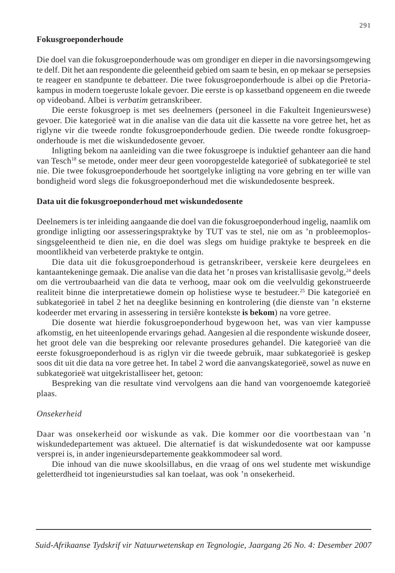#### **Fokusgroeponderhoude**

Die doel van die fokusgroeponderhoude was om grondiger en dieper in die navorsingsomgewing te delf. Dit het aan respondente die geleentheid gebied om saam te besin, en op mekaar se persepsies te reageer en standpunte te debatteer. Die twee fokusgroeponderhoude is albei op die Pretoriakampus in modern toegeruste lokale gevoer. Die eerste is op kassetband opgeneem en die tweede op videoband. Albei is *verbatim* getranskribeer.

Die eerste fokusgroep is met ses deelnemers (personeel in die Fakulteit Ingenieurswese) gevoer. Die kategorieë wat in die analise van die data uit die kassette na vore getree het, het as riglyne vir die tweede rondte fokusgroeponderhoude gedien. Die tweede rondte fokusgroeponderhoude is met die wiskundedosente gevoer.

Inligting bekom na aanleiding van die twee fokusgroepe is induktief gehanteer aan die hand van Tesch18 se metode, onder meer deur geen vooropgestelde kategorieë of subkategorieë te stel nie. Die twee fokusgroeponderhoude het soortgelyke inligting na vore gebring en ter wille van bondigheid word slegs die fokusgroeponderhoud met die wiskundedosente bespreek.

#### **Data uit die fokusgroeponderhoud met wiskundedosente**

Deelnemers is ter inleiding aangaande die doel van die fokusgroeponderhoud ingelig, naamlik om grondige inligting oor assesseringspraktyke by TUT vas te stel, nie om as 'n probleemoplossingsgeleentheid te dien nie, en die doel was slegs om huidige praktyke te bespreek en die moontlikheid van verbeterde praktyke te ontgin.

Die data uit die fokusgroeponderhoud is getranskribeer, verskeie kere deurgelees en kantaantekeninge gemaak. Die analise van die data het 'n proses van kristallisasie gevolg,<sup>24</sup> deels om die vertroubaarheid van die data te verhoog, maar ook om die veelvuldig gekonstrueerde realiteit binne die interpretatiewe domein op holistiese wyse te bestudeer.<sup>25</sup> Die kategorieë en subkategorieë in tabel 2 het na deeglike besinning en kontrolering (die dienste van 'n eksterne kodeerder met ervaring in assessering in tersiêre kontekste **is bekom**) na vore getree.

Die dosente wat hierdie fokusgroeponderhoud bygewoon het, was van vier kampusse afkomstig, en het uiteenlopende ervarings gehad. Aangesien al die respondente wiskunde doseer, het groot dele van die bespreking oor relevante prosedures gehandel. Die kategorieë van die eerste fokusgroeponderhoud is as riglyn vir die tweede gebruik, maar subkategorieë is geskep soos dit uit die data na vore getree het. In tabel 2 word die aanvangskategorieë, sowel as nuwe en subkategorieë wat uitgekristalliseer het, getoon:

Bespreking van die resultate vind vervolgens aan die hand van voorgenoemde kategorieë plaas.

#### *Onsekerheid*

Daar was onsekerheid oor wiskunde as vak. Die kommer oor die voortbestaan van 'n wiskundedepartement was aktueel. Die alternatief is dat wiskundedosente wat oor kampusse versprei is, in ander ingenieursdepartemente geakkommodeer sal word.

Die inhoud van die nuwe skoolsillabus, en die vraag of ons wel studente met wiskundige geletterdheid tot ingenieurstudies sal kan toelaat, was ook 'n onsekerheid.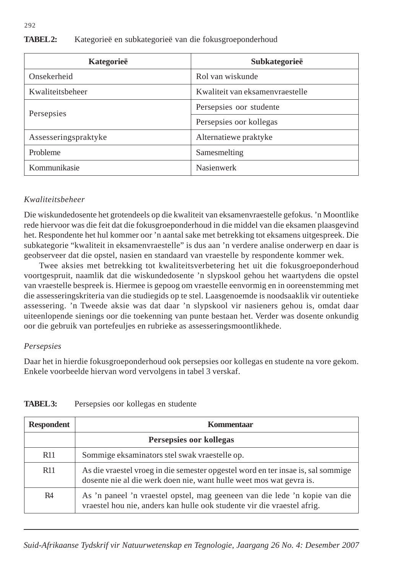| Kategorieë           | Subkategorieë                   |
|----------------------|---------------------------------|
| Onsekerheid          | Rol van wiskunde                |
| Kwaliteitsbeheer     | Kwaliteit van eksamenyraestelle |
| Persepsies           | Persepsies oor studente         |
|                      | Persepsies oor kollegas         |
| Assesseringspraktyke | Alternatiewe praktyke           |
| Probleme             | Samesmelting                    |
| Kommunikasie         | <b>Nasienwerk</b>               |

# **TABEL 2:** Kategorieë en subkategorieë van die fokusgroeponderhoud

# *Kwaliteitsbeheer*

Die wiskundedosente het grotendeels op die kwaliteit van eksamenvraestelle gefokus. 'n Moontlike rede hiervoor was die feit dat die fokusgroeponderhoud in die middel van die eksamen plaasgevind het. Respondente het hul kommer oor 'n aantal sake met betrekking tot eksamens uitgespreek. Die subkategorie "kwaliteit in eksamenvraestelle" is dus aan 'n verdere analise onderwerp en daar is geobserveer dat die opstel, nasien en standaard van vraestelle by respondente kommer wek.

Twee aksies met betrekking tot kwaliteitsverbetering het uit die fokusgroeponderhoud voortgespruit, naamlik dat die wiskundedosente 'n slypskool gehou het waartydens die opstel van vraestelle bespreek is. Hiermee is gepoog om vraestelle eenvormig en in ooreenstemming met die assesseringskriteria van die studiegids op te stel. Laasgenoemde is noodsaaklik vir outentieke assessering. 'n Tweede aksie was dat daar 'n slypskool vir nasieners gehou is, omdat daar uiteenlopende sienings oor die toekenning van punte bestaan het. Verder was dosente onkundig oor die gebruik van portefeuljes en rubrieke as assesseringsmoontlikhede.

# *Persepsies*

Daar het in hierdie fokusgroeponderhoud ook persepsies oor kollegas en studente na vore gekom. Enkele voorbeelde hiervan word vervolgens in tabel 3 verskaf.

| <b>Respondent</b> | Kommentaar                                                                                                                                              |
|-------------------|---------------------------------------------------------------------------------------------------------------------------------------------------------|
|                   | Persepsies oor kollegas                                                                                                                                 |
| R <sub>11</sub>   | Sommige eksaminators stel swak vraestelle op.                                                                                                           |
| R <sub>11</sub>   | As die vraestel vroeg in die semester opgestel word en ter insae is, sal sommige<br>dosente nie al die werk doen nie, want hulle weet mos wat gevra is. |
| R <sub>4</sub>    | As 'n paneel 'n vraestel opstel, mag geeneen van die lede 'n kopie van die<br>vraestel hou nie, anders kan hulle ook studente vir die vraestel afrig.   |

# **TABEL 3:** Persepsies oor kollegas en studente

*Suid-Afrikaanse Tydskrif vir Natuurwetenskap en Tegnologie, Jaargang 26 No. 4: Desember 2007*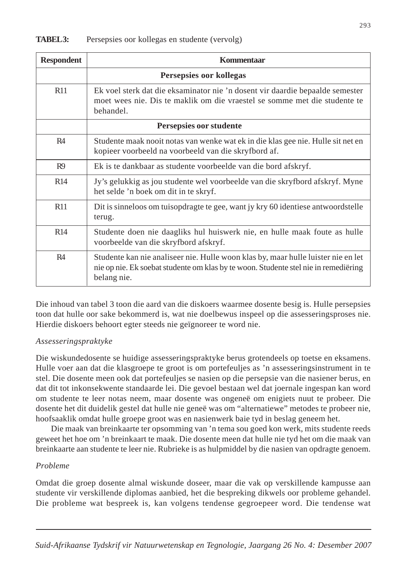| <b>Respondent</b>       | Kommentaar                                                                                                                                                                              |
|-------------------------|-----------------------------------------------------------------------------------------------------------------------------------------------------------------------------------------|
| Persepsies oor kollegas |                                                                                                                                                                                         |
| <b>R11</b>              | Ek voel sterk dat die eksaminator nie 'n dosent vir daardie bepaalde semester<br>moet wees nie. Dis te maklik om die vraestel se somme met die studente te<br>behandel.                 |
| Persepsies oor studente |                                                                                                                                                                                         |
| R4                      | Studente maak nooit notas van wenke wat ek in die klas gee nie. Hulle sit net en<br>kopieer voorbeeld na voorbeeld van die skryfbord af.                                                |
| R <sup>9</sup>          | Ek is te dankbaar as studente voorbeelde van die bord afskryf.                                                                                                                          |
| R14                     | Jy's gelukkig as jou studente wel voorbeelde van die skryfbord afskryf. Myne<br>het selde 'n boek om dit in te skryf.                                                                   |
| R11                     | Dit is sinneloos om tuisopdragte te gee, want jy kry 60 identiese antwoordstelle<br>terug.                                                                                              |
| R14                     | Studente doen nie daagliks hul huiswerk nie, en hulle maak foute as hulle<br>voorbeelde van die skryfbord afskryf.                                                                      |
| R4                      | Studente kan nie analiseer nie. Hulle woon klas by, maar hulle luister nie en let<br>nie op nie. Ek soebat studente om klas by te woon. Studente stel nie in remediëring<br>belang nie. |

## **TABEL3:** Persepsies oor kollegas en studente (vervolg)

Die inhoud van tabel 3 toon die aard van die diskoers waarmee dosente besig is. Hulle persepsies toon dat hulle oor sake bekommerd is, wat nie doelbewus inspeel op die assesseringsproses nie. Hierdie diskoers behoort egter steeds nie geïgnoreer te word nie.

# *Assesseringspraktyke*

Die wiskundedosente se huidige assesseringspraktyke berus grotendeels op toetse en eksamens. Hulle voer aan dat die klasgroepe te groot is om portefeuljes as 'n assesseringsinstrument in te stel. Die dosente meen ook dat portefeuljes se nasien op die persepsie van die nasiener berus, en dat dit tot inkonsekwente standaarde lei. Die gevoel bestaan wel dat joernale ingespan kan word om studente te leer notas neem, maar dosente was ongeneë om enigiets nuut te probeer. Die dosente het dit duidelik gestel dat hulle nie geneë was om "alternatiewe" metodes te probeer nie, hoofsaaklik omdat hulle groepe groot was en nasienwerk baie tyd in beslag geneem het.

Die maak van breinkaarte ter opsomming van 'n tema sou goed kon werk, mits studente reeds geweet het hoe om 'n breinkaart te maak. Die dosente meen dat hulle nie tyd het om die maak van breinkaarte aan studente te leer nie. Rubrieke is as hulpmiddel by die nasien van opdragte genoem.

#### *Probleme*

Omdat die groep dosente almal wiskunde doseer, maar die vak op verskillende kampusse aan studente vir verskillende diplomas aanbied, het die bespreking dikwels oor probleme gehandel. Die probleme wat bespreek is, kan volgens tendense gegroepeer word. Die tendense wat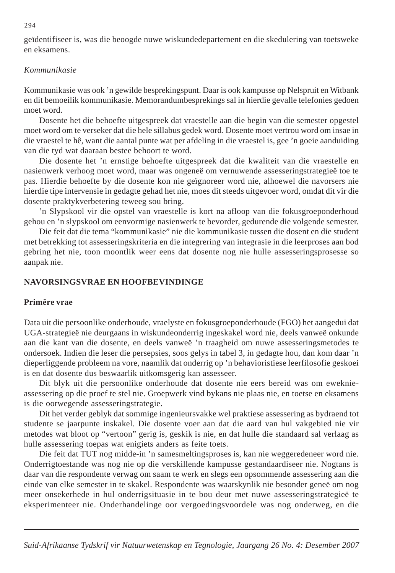geïdentifiseer is, was die beoogde nuwe wiskundedepartement en die skedulering van toetsweke en eksamens.

## *Kommunikasie*

Kommunikasie was ook 'n gewilde besprekingspunt. Daar is ook kampusse op Nelspruit en Witbank en dit bemoeilik kommunikasie. Memorandumbesprekings sal in hierdie gevalle telefonies gedoen moet word.

Dosente het die behoefte uitgespreek dat vraestelle aan die begin van die semester opgestel moet word om te verseker dat die hele sillabus gedek word. Dosente moet vertrou word om insae in die vraestel te hê, want die aantal punte wat per afdeling in die vraestel is, gee 'n goeie aanduiding van die tyd wat daaraan bestee behoort te word.

Die dosente het 'n ernstige behoefte uitgespreek dat die kwaliteit van die vraestelle en nasienwerk verhoog moet word, maar was ongeneë om vernuwende assesseringstrategieë toe te pas. Hierdie behoefte by die dosente kon nie geïgnoreer word nie, alhoewel die navorsers nie hierdie tipe intervensie in gedagte gehad het nie, moes dit steeds uitgevoer word, omdat dit vir die dosente praktykverbetering teweeg sou bring.

'n Slypskool vir die opstel van vraestelle is kort na afloop van die fokusgroeponderhoud gehou en 'n slypskool om eenvormige nasienwerk te bevorder, gedurende die volgende semester.

Die feit dat die tema "kommunikasie" nie die kommunikasie tussen die dosent en die student met betrekking tot assesseringskriteria en die integrering van integrasie in die leerproses aan bod gebring het nie, toon moontlik weer eens dat dosente nog nie hulle assesseringsprosesse so aanpak nie.

## **NAVORSINGSVRAE EN HOOFBEVINDINGE**

#### **Primêre vrae**

Data uit die persoonlike onderhoude, vraelyste en fokusgroeponderhoude (FGO) het aangedui dat UGA-strategieë nie deurgaans in wiskundeonderrig ingeskakel word nie, deels vanweë onkunde aan die kant van die dosente, en deels vanweë 'n traagheid om nuwe assesseringsmetodes te ondersoek. Indien die leser die persepsies, soos gelys in tabel 3, in gedagte hou, dan kom daar 'n dieperliggende probleem na vore, naamlik dat onderrig op 'n behavioristiese leerfilosofie geskoei is en dat dosente dus beswaarlik uitkomsgerig kan assesseer.

Dit blyk uit die persoonlike onderhoude dat dosente nie eers bereid was om eweknieassessering op die proef te stel nie. Groepwerk vind bykans nie plaas nie, en toetse en eksamens is die oorwegende assesseringstrategie.

Dit het verder geblyk dat sommige ingenieursvakke wel praktiese assessering as bydraend tot studente se jaarpunte inskakel. Die dosente voer aan dat die aard van hul vakgebied nie vir metodes wat bloot op "vertoon" gerig is, geskik is nie, en dat hulle die standaard sal verlaag as hulle assessering toepas wat enigiets anders as feite toets.

Die feit dat TUT nog midde-in 'n samesmeltingsproses is, kan nie weggeredeneer word nie. Onderrigtoestande was nog nie op die verskillende kampusse gestandaardiseer nie. Nogtans is daar van die respondente verwag om saam te werk en slegs een opsommende assessering aan die einde van elke semester in te skakel. Respondente was waarskynlik nie besonder geneë om nog meer onsekerhede in hul onderrigsituasie in te bou deur met nuwe assesseringstrategieë te eksperimenteer nie. Onderhandelinge oor vergoedingsvoordele was nog onderweg, en die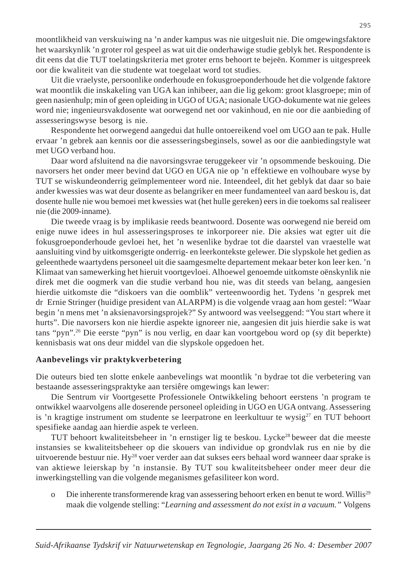moontlikheid van verskuiwing na 'n ander kampus was nie uitgesluit nie. Die omgewingsfaktore het waarskynlik 'n groter rol gespeel as wat uit die onderhawige studie geblyk het. Respondente is dit eens dat die TUT toelatingskriteria met groter erns behoort te bejeën. Kommer is uitgespreek oor die kwaliteit van die studente wat toegelaat word tot studies.

Uit die vraelyste, persoonlike onderhoude en fokusgroeponderhoude het die volgende faktore wat moontlik die inskakeling van UGA kan inhibeer, aan die lig gekom: groot klasgroepe; min of geen nasienhulp; min of geen opleiding in UGO of UGA; nasionale UGO-dokumente wat nie gelees word nie; ingenieursvakdosente wat oorwegend net oor vakinhoud, en nie oor die aanbieding of assesseringswyse besorg is nie.

Respondente het oorwegend aangedui dat hulle ontoereikend voel om UGO aan te pak. Hulle ervaar 'n gebrek aan kennis oor die assesseringsbeginsels, sowel as oor die aanbiedingstyle wat met UGO verband hou.

Daar word afsluitend na die navorsingsvrae teruggekeer vir 'n opsommende beskouing. Die navorsers het onder meer bevind dat UGO en UGA nie op 'n effektiewe en volhoubare wyse by TUT se wiskundeonderrig geïmplementeer word nie. Inteendeel, dit het geblyk dat daar so baie ander kwessies was wat deur dosente as belangriker en meer fundamenteel van aard beskou is, dat dosente hulle nie wou bemoei met kwessies wat (het hulle gereken) eers in die toekoms sal realiseer nie (die 2009-inname).

Die tweede vraag is by implikasie reeds beantwoord. Dosente was oorwegend nie bereid om enige nuwe idees in hul assesseringsproses te inkorporeer nie. Die aksies wat egter uit die fokusgroeponderhoude gevloei het, het 'n wesenlike bydrae tot die daarstel van vraestelle wat aansluiting vind by uitkomsgerigte onderrig- en leerkontekste gelewer. Die slypskole het gedien as geleenthede waartydens personeel uit die saamgesmelte departement mekaar beter kon leer ken. 'n Klimaat van samewerking het hieruit voortgevloei. Alhoewel genoemde uitkomste oënskynlik nie direk met die oogmerk van die studie verband hou nie, was dit steeds van belang, aangesien hierdie uitkomste die "diskoers van die oomblik" verteenwoordig het. Tydens 'n gesprek met dr Ernie Stringer (huidige president van ALARPM) is die volgende vraag aan hom gestel: "Waar begin 'n mens met 'n aksienavorsingsprojek?" Sy antwoord was veelseggend: "You start where it hurts". Die navorsers kon nie hierdie aspekte ignoreer nie, aangesien dit juis hierdie sake is wat tans "pyn".26 Die eerste "pyn" is nou verlig, en daar kan voortgebou word op (sy dit beperkte) kennisbasis wat ons deur middel van die slypskole opgedoen het.

# **Aanbevelings vir praktykverbetering**

Die outeurs bied ten slotte enkele aanbevelings wat moontlik 'n bydrae tot die verbetering van bestaande assesseringspraktyke aan tersiêre omgewings kan lewer:

Die Sentrum vir Voortgesette Professionele Ontwikkeling behoort eerstens 'n program te ontwikkel waarvolgens alle doserende personeel opleiding in UGO en UGA ontvang. Assessering is 'n kragtige instrument om studente se leerpatrone en leerkultuur te wysig<sup>27</sup> en TUT behoort spesifieke aandag aan hierdie aspek te verleen.

TUT behoort kwaliteitsbeheer in 'n ernstiger lig te beskou. Lycke<sup>28</sup> beweer dat die meeste instansies se kwaliteitsbeheer op die skouers van individue op grondvlak rus en nie by die uitvoerende bestuur nie. Hy28 voer verder aan dat sukses eers behaal word wanneer daar sprake is van aktiewe leierskap by 'n instansie. By TUT sou kwaliteitsbeheer onder meer deur die inwerkingstelling van die volgende meganismes gefasiliteer kon word.

Die inherente transformerende krag van assessering behoort erken en benut te word. Willis<sup>29</sup> maak die volgende stelling: "*Learning and assessment do not exist in a vacuum."* Volgens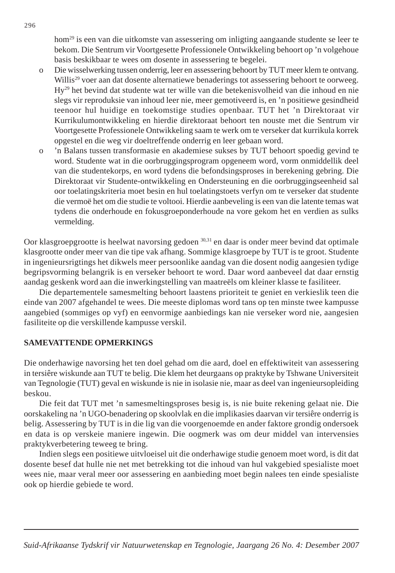hom<sup>29</sup> is een van die uitkomste van assessering om inligting aangaande studente se leer te bekom. Die Sentrum vir Voortgesette Professionele Ontwikkeling behoort op 'n volgehoue basis beskikbaar te wees om dosente in assessering te begelei.

- o Die wisselwerking tussen onderrig, leer en assessering behoort by TUT meer klem te ontvang. Willis<sup>29</sup> voer aan dat dosente alternatiewe benaderings tot assessering behoort te oorweeg. Hy29 het bevind dat studente wat ter wille van die betekenisvolheid van die inhoud en nie slegs vir reproduksie van inhoud leer nie, meer gemotiveerd is, en 'n positiewe gesindheid teenoor hul huidige en toekomstige studies openbaar. TUT het 'n Direktoraat vir Kurrikulumontwikkeling en hierdie direktoraat behoort ten nouste met die Sentrum vir Voortgesette Professionele Ontwikkeling saam te werk om te verseker dat kurrikula korrek opgestel en die weg vir doeltreffende onderrig en leer gebaan word.
- o 'n Balans tussen transformasie en akademiese sukses by TUT behoort spoedig gevind te word. Studente wat in die oorbruggingsprogram opgeneem word, vorm onmiddellik deel van die studentekorps, en word tydens die befondsingsproses in berekening gebring. Die Direktoraat vir Studente-ontwikkeling en Ondersteuning en die oorbruggingseenheid sal oor toelatingskriteria moet besin en hul toelatingstoets verfyn om te verseker dat studente die vermoë het om die studie te voltooi. Hierdie aanbeveling is een van die latente temas wat tydens die onderhoude en fokusgroeponderhoude na vore gekom het en verdien as sulks vermelding.

Oor klasgroepgrootte is heelwat navorsing gedoen 30,31 en daar is onder meer bevind dat optimale klasgrootte onder meer van die tipe vak afhang. Sommige klasgroepe by TUT is te groot. Studente in ingenieursrigtings het dikwels meer persoonlike aandag van die dosent nodig aangesien tydige begripsvorming belangrik is en verseker behoort te word. Daar word aanbeveel dat daar ernstig aandag geskenk word aan die inwerkingstelling van maatreëls om kleiner klasse te fasiliteer.

Die departementele samesmelting behoort laastens prioriteit te geniet en verkieslik teen die einde van 2007 afgehandel te wees. Die meeste diplomas word tans op ten minste twee kampusse aangebied (sommiges op vyf) en eenvormige aanbiedings kan nie verseker word nie, aangesien fasiliteite op die verskillende kampusse verskil.

# **SAMEVATTENDE OPMERKINGS**

Die onderhawige navorsing het ten doel gehad om die aard, doel en effektiwiteit van assessering in tersiêre wiskunde aan TUT te belig. Die klem het deurgaans op praktyke by Tshwane Universiteit van Tegnologie (TUT) geval en wiskunde is nie in isolasie nie, maar as deel van ingenieursopleiding beskou.

Die feit dat TUT met 'n samesmeltingsproses besig is, is nie buite rekening gelaat nie. Die oorskakeling na 'n UGO-benadering op skoolvlak en die implikasies daarvan vir tersiêre onderrig is belig. Assessering by TUT is in die lig van die voorgenoemde en ander faktore grondig ondersoek en data is op verskeie maniere ingewin. Die oogmerk was om deur middel van intervensies praktykverbetering teweeg te bring.

Indien slegs een positiewe uitvloeisel uit die onderhawige studie genoem moet word, is dit dat dosente besef dat hulle nie net met betrekking tot die inhoud van hul vakgebied spesialiste moet wees nie, maar veral meer oor assessering en aanbieding moet begin nalees ten einde spesialiste ook op hierdie gebiede te word.